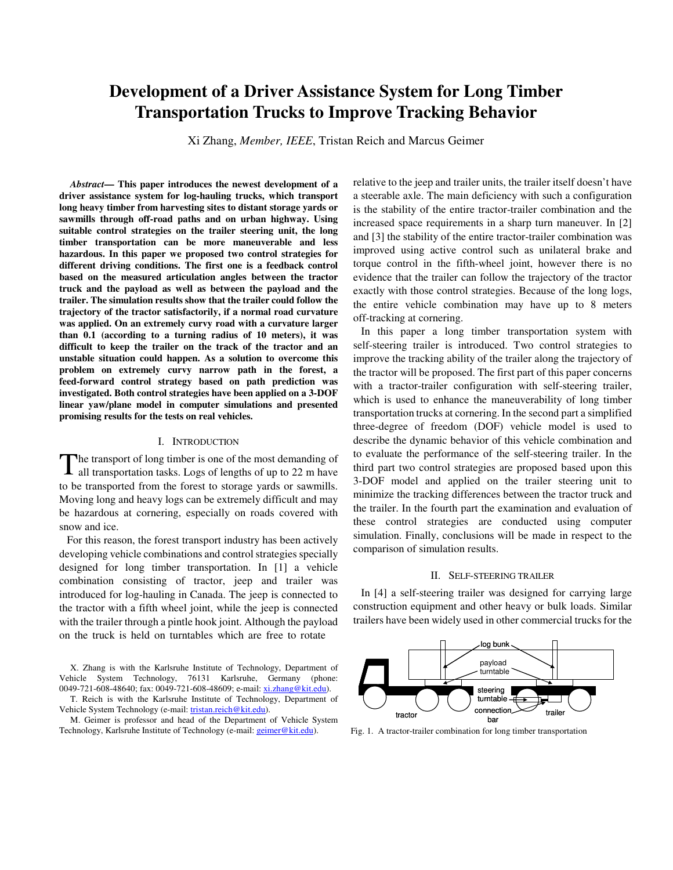# **Development of a Driver Assistance System for Long Timber Transportation Trucks to Improve Tracking Behavior**

Xi Zhang, *Member, IEEE*, Tristan Reich and Marcus Geimer

*Abstract***— This paper introduces the newest development of a driver assistance system for log-hauling trucks, which transport long heavy timber from harvesting sites to distant storage yards or sawmills through off-road paths and on urban highway. Using suitable control strategies on the trailer steering unit, the long timber transportation can be more maneuverable and less hazardous. In this paper we proposed two control strategies for different driving conditions. The first one is a feedback control based on the measured articulation angles between the tractor truck and the payload as well as between the payload and the trailer. The simulation results show that the trailer could follow the trajectory of the tractor satisfactorily, if a normal road curvature was applied. On an extremely curvy road with a curvature larger than 0.1 (according to a turning radius of 10 meters), it was difficult to keep the trailer on the track of the tractor and an unstable situation could happen. As a solution to overcome this problem on extremely curvy narrow path in the forest, a feed-forward control strategy based on path prediction was investigated. Both control strategies have been applied on a 3-DOF linear yaw/plane model in computer simulations and presented promising results for the tests on real vehicles.** 

## I. INTRODUCTION

The transport of long timber is one of the most demanding of all transportation tasks. Logs of lengths of up to 22 m have all transportation tasks. Logs of lengths of up to 22 m have to be transported from the forest to storage yards or sawmills. Moving long and heavy logs can be extremely difficult and may be hazardous at cornering, especially on roads covered with snow and ice.

For this reason, the forest transport industry has been actively developing vehicle combinations and control strategies specially designed for long timber transportation. In [1] a vehicle combination consisting of tractor, jeep and trailer was introduced for log-hauling in Canada. The jeep is connected to the tractor with a fifth wheel joint, while the jeep is connected with the trailer through a pintle hook joint. Although the payload on the truck is held on turntables which are free to rotate

X. Zhang is with the Karlsruhe Institute of Technology, Department of Vehicle System Technology, 76131 Karlsruhe, Germany (phone: 0049-721-608-48640; fax: 0049-721-608-48609; e-mail: xi.zhang@kit.edu).

T. Reich is with the Karlsruhe Institute of Technology, Department of Vehicle System Technology (e-mail: tristan.reich@kit.edu).

M. Geimer is professor and head of the Department of Vehicle System Technology, Karlsruhe Institute of Technology (e-mail: geimer@kit.edu).

relative to the jeep and trailer units, the trailer itself doesn't have a steerable axle. The main deficiency with such a configuration is the stability of the entire tractor-trailer combination and the increased space requirements in a sharp turn maneuver. In [2] and [3] the stability of the entire tractor-trailer combination was improved using active control such as unilateral brake and torque control in the fifth-wheel joint, however there is no evidence that the trailer can follow the trajectory of the tractor exactly with those control strategies. Because of the long logs, the entire vehicle combination may have up to 8 meters off-tracking at cornering.

In this paper a long timber transportation system with self-steering trailer is introduced. Two control strategies to improve the tracking ability of the trailer along the trajectory of the tractor will be proposed. The first part of this paper concerns with a tractor-trailer configuration with self-steering trailer, which is used to enhance the maneuverability of long timber transportation trucks at cornering. In the second part a simplified three-degree of freedom (DOF) vehicle model is used to describe the dynamic behavior of this vehicle combination and to evaluate the performance of the self-steering trailer. In the third part two control strategies are proposed based upon this 3-DOF model and applied on the trailer steering unit to minimize the tracking differences between the tractor truck and the trailer. In the fourth part the examination and evaluation of these control strategies are conducted using computer simulation. Finally, conclusions will be made in respect to the comparison of simulation results.

#### II. SELF-STEERING TRAILER

In [4] a self-steering trailer was designed for carrying large construction equipment and other heavy or bulk loads. Similar trailers have been widely used in other commercial trucks for the



Fig. 1. A tractor-trailer combination for long timber transportation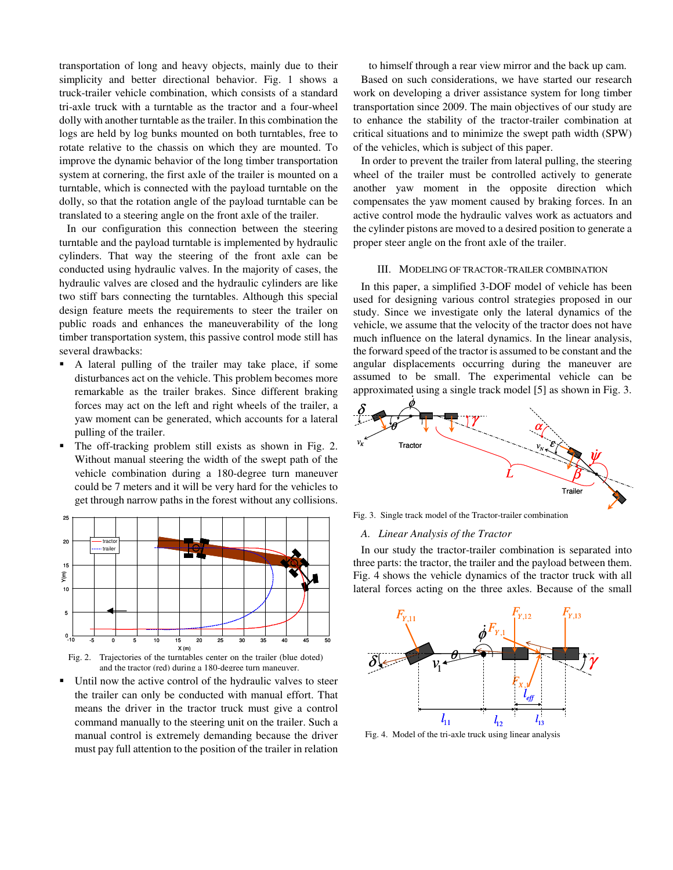transportation of long and heavy objects, mainly due to their simplicity and better directional behavior. Fig. 1 shows a truck-trailer vehicle combination, which consists of a standard tri-axle truck with a turntable as the tractor and a four-wheel dolly with another turntable as the trailer. In this combination the logs are held by log bunks mounted on both turntables, free to rotate relative to the chassis on which they are mounted. To improve the dynamic behavior of the long timber transportation system at cornering, the first axle of the trailer is mounted on a turntable, which is connected with the payload turntable on the dolly, so that the rotation angle of the payload turntable can be translated to a steering angle on the front axle of the trailer.

In our configuration this connection between the steering turntable and the payload turntable is implemented by hydraulic cylinders. That way the steering of the front axle can be conducted using hydraulic valves. In the majority of cases, the hydraulic valves are closed and the hydraulic cylinders are like two stiff bars connecting the turntables. Although this special design feature meets the requirements to steer the trailer on public roads and enhances the maneuverability of the long timber transportation system, this passive control mode still has several drawbacks:

- A lateral pulling of the trailer may take place, if some disturbances act on the vehicle. This problem becomes more remarkable as the trailer brakes. Since different braking forces may act on the left and right wheels of the trailer, a yaw moment can be generated, which accounts for a lateral pulling of the trailer.
- The off-tracking problem still exists as shown in Fig. 2. Without manual steering the width of the swept path of the vehicle combination during a 180-degree turn maneuver could be 7 meters and it will be very hard for the vehicles to get through narrow paths in the forest without any collisions.



Fig. 2. Trajectories of the turntables center on the trailer (blue doted) and the tractor (red) during a 180-degree turn maneuver.

 Until now the active control of the hydraulic valves to steer the trailer can only be conducted with manual effort. That means the driver in the tractor truck must give a control command manually to the steering unit on the trailer. Such a manual control is extremely demanding because the driver must pay full attention to the position of the trailer in relation to himself through a rear view mirror and the back up cam.

Based on such considerations, we have started our research work on developing a driver assistance system for long timber transportation since 2009. The main objectives of our study are to enhance the stability of the tractor-trailer combination at critical situations and to minimize the swept path width (SPW) of the vehicles, which is subject of this paper.

In order to prevent the trailer from lateral pulling, the steering wheel of the trailer must be controlled actively to generate another yaw moment in the opposite direction which compensates the yaw moment caused by braking forces. In an active control mode the hydraulic valves work as actuators and the cylinder pistons are moved to a desired position to generate a proper steer angle on the front axle of the trailer.

# III. MODELING OF TRACTOR-TRAILER COMBINATION

In this paper, a simplified 3-DOF model of vehicle has been used for designing various control strategies proposed in our study. Since we investigate only the lateral dynamics of the vehicle, we assume that the velocity of the tractor does not have much influence on the lateral dynamics. In the linear analysis, the forward speed of the tractor is assumed to be constant and the angular displacements occurring during the maneuver are assumed to be small. The experimental vehicle can be approximated using a single track model [5] as shown in Fig. 3. &



Fig. 3. Single track model of the Tractor-trailer combination

# *A. Linear Analysis of the Tractor*

In our study the tractor-trailer combination is separated into three parts: the tractor, the trailer and the payload between them. Fig. 4 shows the vehicle dynamics of the tractor truck with all lateral forces acting on the three axles. Because of the small



Fig. 4. Model of the tri-axle truck using linear analysis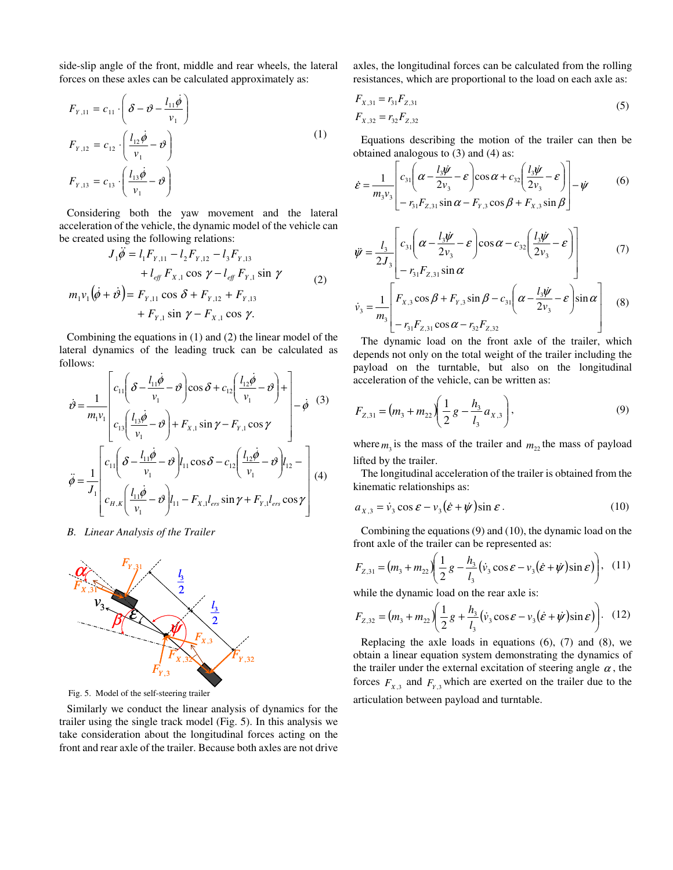side-slip angle of the front, middle and rear wheels, the lateral forces on these axles can be calculated approximately as:

$$
F_{Y,11} = c_{11} \cdot \left( \delta - \vartheta - \frac{l_{11} \dot{\phi}}{v_1} \right)
$$
  
\n
$$
F_{Y,12} = c_{12} \cdot \left( \frac{l_{12} \dot{\phi}}{v_1} - \vartheta \right)
$$
  
\n
$$
F_{Y,13} = c_{13} \cdot \left( \frac{l_{13} \dot{\phi}}{v_1} - \vartheta \right)
$$
 (1)

Considering both the yaw movement and the lateral acceleration of the vehicle, the dynamic model of the vehicle can be created using the following relations:

$$
J_1 \ddot{\phi} = l_1 F_{Y,11} - l_2 F_{Y,12} - l_3 F_{Y,13}
$$
  
+  $l_{eff} F_{X,1} \cos \gamma - l_{eff} F_{Y,1} \sin \gamma$   

$$
m_1 v_1 (\dot{\phi} + \dot{\phi}) = F_{Y,11} \cos \delta + F_{Y,12} + F_{Y,13}
$$
  
+  $F_{Y,1} \sin \gamma - F_{X,1} \cos \gamma$ . (2)

Combining the equations in (1) and (2) the linear model of the lateral dynamics of the leading truck can be calculated as follows:

$$
\dot{\theta} = \frac{1}{m_1 v_1} \begin{bmatrix} c_{11} \left( \delta - \frac{l_{11} \dot{\phi}}{v_1} - \vartheta \right) \cos \delta + c_{12} \left( \frac{l_{12} \dot{\phi}}{v_1} - \vartheta \right) + \\ c_{13} \left( \frac{l_{13} \dot{\phi}}{v_1} - \vartheta \right) + F_{X,1} \sin \gamma - F_{Y,1} \cos \gamma \end{bmatrix} - \dot{\phi} \quad (3)
$$

$$
\ddot{\phi} = \frac{1}{J_1} \begin{bmatrix} c_{11} \left( \delta - \frac{l_{11} \dot{\phi}}{v_1} - \vartheta \right) l_{11} \cos \delta - c_{12} \left( \frac{l_{12} \dot{\phi}}{v_1} - \vartheta \right) l_{12} - \\ c_{H,K} \left( \frac{l_{11} \dot{\phi}}{v_1} - \vartheta \right) l_{11} - F_{X,1} l_{ers} \sin \gamma + F_{Y,1} l_{ers} \cos \gamma \end{bmatrix} (4)
$$

*B. Linear Analysis of the Trailer* 



Fig. 5. Model of the self-steering trailer

Similarly we conduct the linear analysis of dynamics for the trailer using the single track model (Fig. 5). In this analysis we take consideration about the longitudinal forces acting on the front and rear axle of the trailer. Because both axles are not drive

axles, the longitudinal forces can be calculated from the rolling resistances, which are proportional to the load on each axle as:

$$
F_{X,31} = r_{31} F_{Z,31}
$$
  
\n
$$
F_{X,32} = r_{32} F_{Z,32}
$$
\n(5)

Equations describing the motion of the trailer can then be obtained analogous to (3) and (4) as:

$$
\dot{\varepsilon} = \frac{1}{m_3 v_3} \left[ c_{31} \left( \alpha - \frac{l_3 \dot{\psi}}{2v_3} - \varepsilon \right) \cos \alpha + c_{32} \left( \frac{l_3 \dot{\psi}}{2v_3} - \varepsilon \right) \right] - \dot{\psi}
$$
 (6)  
-  $r_{31} F_{Z,31} \sin \alpha - F_{Y,3} \cos \beta + F_{X,3} \sin \beta$ 

$$
\ddot{\psi} = \frac{l_3}{2J_3} \begin{bmatrix} c_{31} \left( \alpha - \frac{l_3 \dot{\psi}}{2v_3} - \varepsilon \right) \cos \alpha - c_{32} \left( \frac{l_3 \dot{\psi}}{2v_3} - \varepsilon \right) \\ -r_{31} F_{Z,31} \sin \alpha \end{bmatrix}
$$
(7)  

$$
\dot{v}_3 = \frac{1}{m_3} \begin{bmatrix} F_{X,3} \cos \beta + F_{Y,3} \sin \beta - c_{31} \left( \alpha - \frac{l_3 \dot{\psi}}{2v_3} - \varepsilon \right) \sin \alpha \\ -r_{31} F_{Z,3} \cos \beta - r_{Z} F_{Z,3} \sin \beta - c_{31} \left( \alpha - \frac{l_3 \dot{\psi}}{2v_3} - \varepsilon \right) \sin \alpha \end{bmatrix}
$$
(8)

$$
\begin{bmatrix} -r_{31}F_{Z,31}\cos\alpha - r_{32}F_{Z,32} \\ \text{dynamic load on the front cycle of the trailer which} \end{bmatrix}
$$

The dynamic load on the front axle of the trailer, which depends not only on the total weight of the trailer including the payload on the turntable, but also on the longitudinal acceleration of the vehicle, can be written as:

$$
F_{Z,31} = (m_3 + m_{22}) \left( \frac{1}{2} g - \frac{h_3}{l_3} a_{X,3} \right),
$$
 (9)

where  $m_3$  is the mass of the trailer and  $m_{22}$  the mass of payload lifted by the trailer.

The longitudinal acceleration of the trailer is obtained from the kinematic relationships as:

$$
a_{x,3} = \dot{v}_3 \cos \varepsilon - v_3 (\dot{\varepsilon} + \dot{\psi}) \sin \varepsilon.
$$
 (10)

Combining the equations (9) and (10), the dynamic load on the front axle of the trailer can be represented as:

$$
F_{Z,31} = (m_3 + m_{22}) \left( \frac{1}{2} g - \frac{h_3}{l_3} (\dot{v}_3 \cos \varepsilon - v_3 (\dot{\varepsilon} + \dot{\psi}) \sin \varepsilon) \right), \quad (11)
$$

while the dynamic load on the rear axle is:

$$
F_{Z,32} = (m_3 + m_{22}) \left( \frac{1}{2} g + \frac{h_3}{l_3} (\dot{v}_3 \cos \varepsilon - v_3 (\dot{\varepsilon} + \dot{\psi}) \sin \varepsilon) \right). \tag{12}
$$

Replacing the axle loads in equations  $(6)$ ,  $(7)$  and  $(8)$ , we obtain a linear equation system demonstrating the dynamics of the trailer under the external excitation of steering angle  $\alpha$ , the forces  $F_{X,3}$  and  $F_{Y,3}$  which are exerted on the trailer due to the articulation between payload and turntable.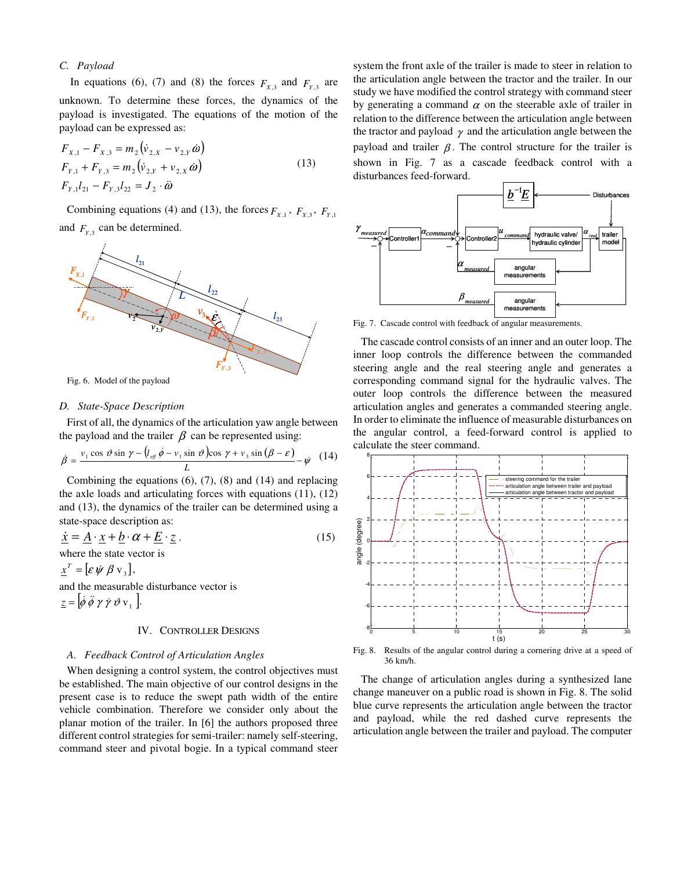# *C. Payload*

In equations (6), (7) and (8) the forces  $F_{X,3}$  and  $F_{Y,3}$  are unknown. To determine these forces, the dynamics of the payload is investigated. The equations of the motion of the payload can be expressed as:

$$
F_{X,1} - F_{X,3} = m_2 (\dot{v}_{2,X} - v_{2,Y} \dot{\omega})
$$
  
\n
$$
F_{Y,1} + F_{Y,3} = m_2 (\dot{v}_{2,Y} + v_{2,X} \dot{\omega})
$$
  
\n
$$
F_{Y,1} l_{21} - F_{Y,3} l_{22} = J_2 \cdot \ddot{\omega}
$$
\n(13)

Combining equations (4) and (13), the forces  $F_{X,1}$ ,  $F_{X,3}$ ,  $F_{Y,1}$ and  $F_{Y,3}$  can be determined.



Fig. 6. Model of the payload

### *D. State-Space Description*

First of all, the dynamics of the articulation yaw angle between the payload and the trailer  $\beta$  can be represented using:

$$
\dot{\beta} = \frac{v_1 \cos \vartheta \sin \gamma - (l_{\text{eff}} \dot{\phi} - v_1 \sin \vartheta) \cos \gamma + v_3 \sin (\beta - \varepsilon)}{L} - \dot{\psi} \quad (14)
$$

Combining the equations (6), (7), (8) and (14) and replacing the axle loads and articulating forces with equations (11), (12) and (13), the dynamics of the trailer can be determined using a state-space description as:

$$
\underline{\dot{x}} = \underline{A} \cdot \underline{x} + \underline{b} \cdot \alpha + \underline{E} \cdot \underline{z} \,. \tag{15}
$$

where the state vector is

 $\underline{x}^T = [\varepsilon \psi \beta v_3],$ and the measurable disturbance vector is  $\underline{z} = [\dot{\phi} \ddot{\phi} \gamma \dot{\gamma} \vartheta v_1].$ 

### IV. CONTROLLER DESIGNS

## *A. Feedback Control of Articulation Angles*

When designing a control system, the control objectives must be established. The main objective of our control designs in the present case is to reduce the swept path width of the entire vehicle combination. Therefore we consider only about the planar motion of the trailer. In [6] the authors proposed three different control strategies for semi-trailer: namely self-steering, command steer and pivotal bogie. In a typical command steer

system the front axle of the trailer is made to steer in relation to the articulation angle between the tractor and the trailer. In our study we have modified the control strategy with command steer by generating a command  $\alpha$  on the steerable axle of trailer in relation to the difference between the articulation angle between the tractor and payload  $\gamma$  and the articulation angle between the payload and trailer  $\beta$ . The control structure for the trailer is shown in Fig. 7 as a cascade feedback control with a disturbances feed-forward.



Fig. 7. Cascade control with feedback of angular measurements.

The cascade control consists of an inner and an outer loop. The inner loop controls the difference between the commanded steering angle and the real steering angle and generates a corresponding command signal for the hydraulic valves. The outer loop controls the difference between the measured articulation angles and generates a commanded steering angle. In order to eliminate the influence of measurable disturbances on the angular control, a feed-forward control is applied to calculate the steer command.



Fig. 8. Results of the angular control during a cornering drive at a speed of 36 km/h.

The change of articulation angles during a synthesized lane change maneuver on a public road is shown in Fig. 8. The solid blue curve represents the articulation angle between the tractor and payload, while the red dashed curve represents the articulation angle between the trailer and payload. The computer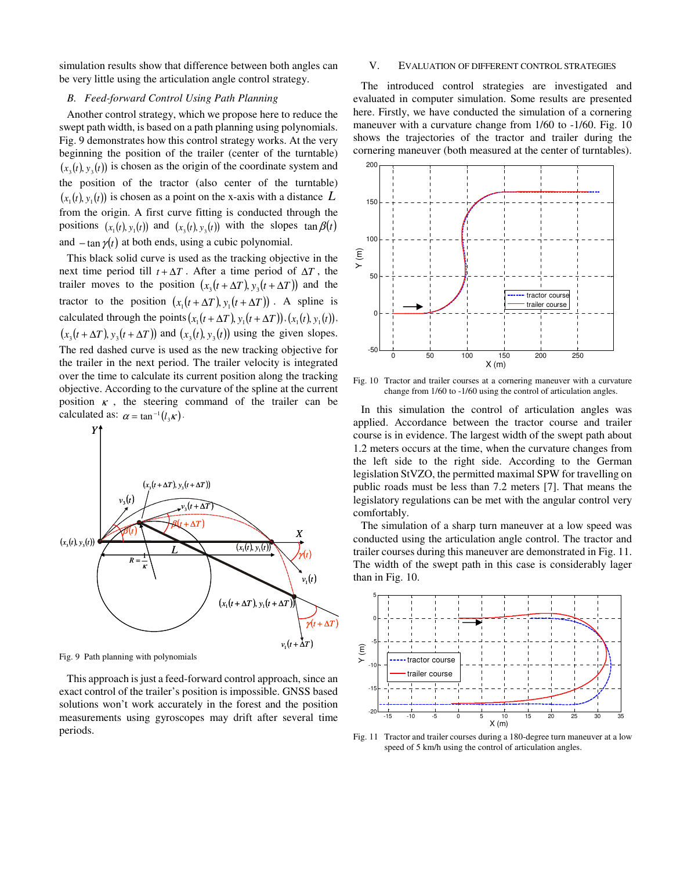simulation results show that difference between both angles can be very little using the articulation angle control strategy.

## *B. Feed-forward Control Using Path Planning*

Another control strategy, which we propose here to reduce the swept path width, is based on a path planning using polynomials. Fig. 9 demonstrates how this control strategy works. At the very beginning the position of the trailer (center of the turntable)  $(x_3(t), y_3(t))$  is chosen as the origin of the coordinate system and the position of the tractor (also center of the turntable)  $(x_1(t), y_1(t))$  is chosen as a point on the x-axis with a distance L from the origin. A first curve fitting is conducted through the positions  $(x_1(t), y_1(t))$  and  $(x_3(t), y_3(t))$  with the slopes tan  $\beta(t)$ and  $-\tan\gamma(t)$  at both ends, using a cubic polynomial.

This black solid curve is used as the tracking objective in the next time period till  $t + \Delta T$ . After a time period of  $\Delta T$ , the trailer moves to the position  $(x_3(t + \Delta T), y_3(t + \Delta T))$  and the tractor to the position  $(x_1(t + \Delta T), y_1(t + \Delta T))$ . A spline is calculated through the points  $(x_1(t + \Delta T), y_1(t + \Delta T))$ ,  $(x_1(t), y_1(t))$ ,  $(x_3(t + \Delta T), y_3(t + \Delta T))$  and  $(x_3(t), y_3(t))$  using the given slopes. The red dashed curve is used as the new tracking objective for the trailer in the next period. The trailer velocity is integrated over the time to calculate its current position along the tracking objective. According to the curvature of the spline at the current position  $\kappa$ , the steering command of the trailer can be calculated as:  $\alpha = \tan^{-1}(l_3 \kappa)$ .



Fig. 9 Path planning with polynomials

This approach is just a feed-forward control approach, since an exact control of the trailer's position is impossible. GNSS based solutions won't work accurately in the forest and the position measurements using gyroscopes may drift after several time periods.

#### V. EVALUATION OF DIFFERENT CONTROL STRATEGIES

The introduced control strategies are investigated and evaluated in computer simulation. Some results are presented here. Firstly, we have conducted the simulation of a cornering maneuver with a curvature change from  $1/60$  to  $-1/60$ . Fig. 10 shows the trajectories of the tractor and trailer during the cornering maneuver (both measured at the center of turntables).



Fig. 10 Tractor and trailer courses at a cornering maneuver with a curvature change from 1/60 to -1/60 using the control of articulation angles.

In this simulation the control of articulation angles was applied. Accordance between the tractor course and trailer course is in evidence. The largest width of the swept path about 1.2 meters occurs at the time, when the curvature changes from the left side to the right side. According to the German legislation StVZO, the permitted maximal SPW for travelling on public roads must be less than 7.2 meters [7]. That means the legislatory regulations can be met with the angular control very comfortably.

The simulation of a sharp turn maneuver at a low speed was conducted using the articulation angle control. The tractor and trailer courses during this maneuver are demonstrated in Fig. 11. The width of the swept path in this case is considerably lager than in Fig. 10.



Fig. 11 Tractor and trailer courses during a 180-degree turn maneuver at a low speed of 5 km/h using the control of articulation angles.